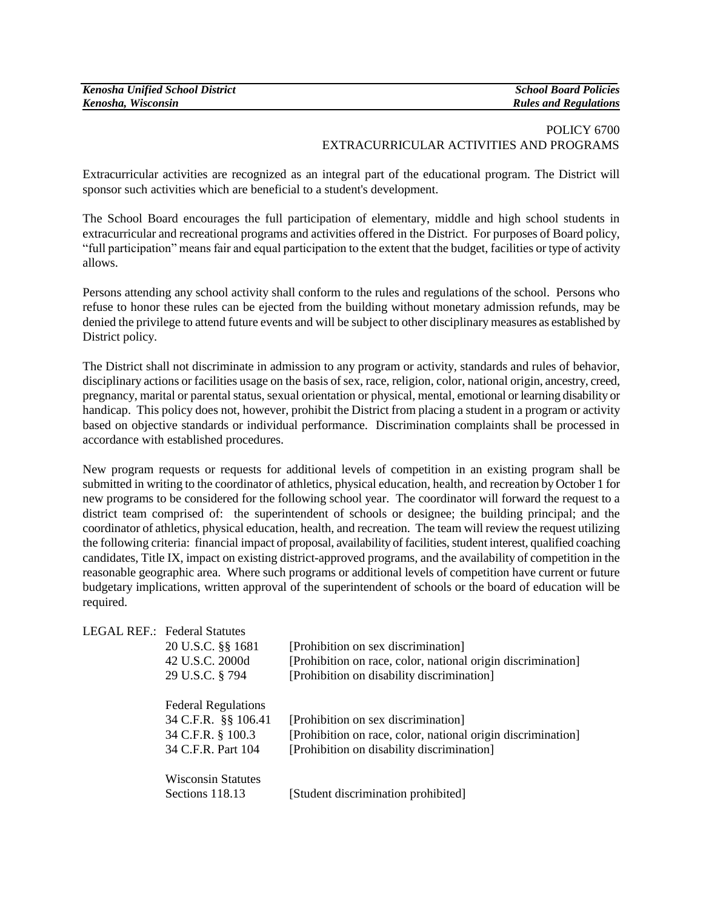| <b>Kenosha Unified School District</b> | <b>School Board Policies</b> |
|----------------------------------------|------------------------------|
| Kenosha, Wisconsin                     | <b>Rules and Regulations</b> |

## POLICY 6700 EXTRACURRICULAR ACTIVITIES AND PROGRAMS

Extracurricular activities are recognized as an integral part of the educational program. The District will sponsor such activities which are beneficial to a student's development.

The School Board encourages the full participation of elementary, middle and high school students in extracurricular and recreational programs and activities offered in the District. For purposes of Board policy, "full participation" means fair and equal participation to the extent that the budget, facilities or type of activity allows.

Persons attending any school activity shall conform to the rules and regulations of the school. Persons who refuse to honor these rules can be ejected from the building without monetary admission refunds, may be denied the privilege to attend future events and will be subject to other disciplinary measures as established by District policy.

The District shall not discriminate in admission to any program or activity, standards and rules of behavior, disciplinary actions or facilities usage on the basis of sex, race, religion, color, national origin, ancestry, creed, pregnancy, marital or parental status, sexual orientation or physical, mental, emotional or learning disability or handicap. This policy does not, however, prohibit the District from placing a student in a program or activity based on objective standards or individual performance. Discrimination complaints shall be processed in accordance with established procedures.

New program requests or requests for additional levels of competition in an existing program shall be submitted in writing to the coordinator of athletics, physical education, health, and recreation by October 1 for new programs to be considered for the following school year. The coordinator will forward the request to a district team comprised of: the superintendent of schools or designee; the building principal; and the coordinator of athletics, physical education, health, and recreation. The team will review the request utilizing the following criteria: financial impact of proposal, availability of facilities, student interest, qualified coaching candidates, Title IX, impact on existing district-approved programs, and the availability of competition in the reasonable geographic area. Where such programs or additional levels of competition have current or future budgetary implications, written approval of the superintendent of schools or the board of education will be required.

|  | <b>LEGAL REF.: Federal Statutes</b> |                                                              |
|--|-------------------------------------|--------------------------------------------------------------|
|  | 20 U.S.C. §§ 1681                   | [Prohibition on sex discrimination]                          |
|  | 42 U.S.C. 2000d                     | [Prohibition on race, color, national origin discrimination] |
|  | 29 U.S.C. § 794                     | [Prohibition on disability discrimination]                   |
|  | <b>Federal Regulations</b>          |                                                              |
|  | 34 C.F.R. §§ 106.41                 | [Prohibition on sex discrimination]                          |
|  | 34 C.F.R. § 100.3                   | [Prohibition on race, color, national origin discrimination] |
|  | 34 C.F.R. Part 104                  | [Prohibition on disability discrimination]                   |
|  | <b>Wisconsin Statutes</b>           |                                                              |
|  | Sections 118.13                     | [Student discrimination prohibited]                          |